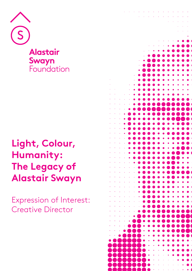

**Alastair Swayn**<br>Foundation

# **Light, Colour, Humanity: The Legacy of Alastair Swayn**

Expression of Interest: Creative Director

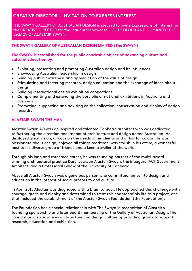# **CREATIVE DIRECTOR - INVITATION TO EXPRESS INTEREST**

THE SWAYN GALLERY OF AUSTRALIAN DESIGN is pleased to invite Expressions of Interest for the CREATIVE DIRECTOR for the inaugural showcase LIGHT COLOUR AND HUMANITY: THE LEGACY OF ALASTAIR SWAYN.

# **THE SWAYN GALLERY OF AUSTRALIAN DESIGN LIMITED (The SWAYN)**

## **The SWAYN is established for the public charitable object of advancing culture and cultural education by:**

- Exploring, presenting and promoting Australian design and its influences
- Showcasing Australian leadership in design
- Building public awareness and appreciation of the value of design
- Stimulating and fostering research, design education and the exchange of ideas about desian
- Building international design exhibition connections
- Complementing and extending the portfolio of national exhibitions in Australia and overseas
- Promoting, supporting and advising on the collection, conservation and display of design records.

#### **[ALASTAIR SWAYN THE MAN](https://alastairswaynfoundation.org/about/)**

Alastair Swayn AO was an inspired and talented Canberra architect who was dedicated to furthering the direction and impact of architecture and design across Australian. He displayed great vision, a focus on the needs of his clients and a flair for colour. He was passionate about design, enjoyed all things maritime, was stylish in his attire, a wonderful host to his diverse group of friends and a keen traveller of the world.

Through his long and esteemed career, he was founding partner of the multi-award winning architectural practice Daryl Jackson Alastair Swayn, the inaugural ACT Government Architect, and a Professorial Fellow of the University of Canberra.

Above all Alastair Swayn was a generous person who committed himself to design and education in the interest of social prosperity and culture.

In April 2015 Alastair was diagnosed with a brain tumour. He approached this challenge with courage, grace and dignity and determined to treat this chapter of his life as a project, one that included the establishment of the Alastair Swayn Foundation (the Foundation).

The Foundation has a special relationship with The Swayn in recognition of Alastair's founding sponsorship and later Board membership of the Gallery of Australian Design. The Foundation also advances architecture and design culture by providing grants to support research, education and exhibition.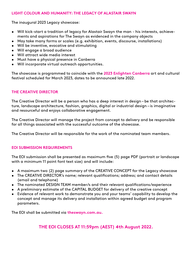# **LIGHT COLOUR AND HUMANITY: THE LEGACY OF ALASTAIR SWAYN**

The inaugural 2023 Legacy showcase:

- Will kick-start a tradition of legacy for Alastair Swayn the man his interests, achievements and aspirations for The Swayn as evidenced in the company objects
- May take many forms or scales (e.g. exhibition, events, discourse, installations)
- Will be inventive, evocative and stimulating
- Will engage a broad audience
- Will attract wide media interest
- Must have a physical presence in Canberra
- Will incorporate virtual outreach opportunities.

The showcase is programmed to coincide with the **2023 [Enlighten Canberra](https://enlightencanberra.com/)** art and cultural festival scheduled for March 2023, dates to be announced late 2022.

# **THE CREATIVE DIRECTOR**

The Creative Director will be a person who has a deep interest in design – be that architecture, landscape architecture, fashion, graphics, digital or industrial design – is imaginative and resourceful and enjoys collaborative engagement.

The Creative Director will manage the project from concept to delivery and be responsible for all things associated with the successful outcome of the showcase.

The Creative Director will be responsible for the work of the nominated team members.

#### **EOI SUBMISSION REQUIREMENTS**

The EOI submission shall be presented as maximum five (5) page PDF (portrait or landscape with a minimum 11 point font text size) and will include:

- A maximum two (2) page summary of the CREATIVE CONCEPT for the Legacy showcase
- The CREATIVE DIRECTOR's name; relevant qualifications; address; and contact details (email and telephone)
- The nominated DESIGN TEAM member/s and their relevant qualifications/experience
- A preliminary estimate of the CAPITAL BUDGET for delivery of the creative concept
- Evidence of relevant work to demonstrate you and your teams' capability to develop the concept and manage its delivery and installation within agreed budget and program parameters.

The EOI shall be submitted via **[theswayn.com.au](https://theswayn.com.au/expression-of-interest-creative-director/).**

# **THE EOI CLOSES AT 11:59pm (AEST) 4th August 2022.**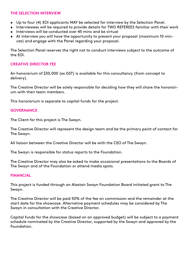#### **THE SELECTION INTERVIEW**

- Up to four (4) EOI applicants MAY be selected for interview by the Selection Panel.
- Interviewees will be required to provide details for TWO REFEREES familiar with their work • Interviews will be conducted over 45 mins and be virtual
- At interview you will have the opportunity to present your proposal (maximum 10 minute) and engage with the Panel regarding your proposal.

The Selection Panel reserves the right not to conduct interviews subject to the outcome of the EOI.

# **CREATIVE DIRECTOR FEE**

An honorarium of \$30,000 (ex GST) is available for this consultancy (from concept to delivery).

The Creative Director will be solely responsible for deciding how they will share the honorarium with their team members.

This honorarium is separate to capital funds for the project.

# **GOVERNANCE**

The Client for this project is The Swayn.

The Creative Director will represent the design team and be the primary point of contact for The Swayn.

All liaison between the Creative Director will be with the CEO of The Swayn.

The Swayn is responsible for status reports to the Foundation.

The Creative Director may also be asked to make occasional presentations to the Boards of The Swayn and of the Foundation or attend media spots.

#### **FINANCIAL**

This project is funded through an Alastair Swayn Foundation Board initiated grant to The Swayn.

The Creative Director will be paid 50% of the fee on commission and the remainder at the start date for the showcase. Alternative payment schedules may be considered by The Swayn in consultation with the Creative Director.

Capital funds for the showcase (based on an approved budget) will be subject to a payment schedule nominated by the Creative Director, supported by the Swayn and approved by the Foundation.